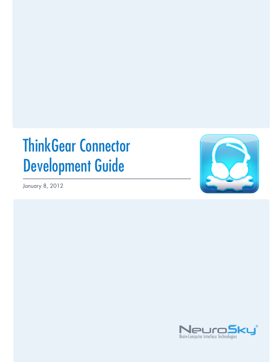# ThinkGear Connector Development Guide

January 8, 2012



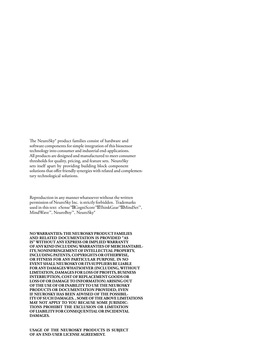The NeuroSky<sup>®</sup> product families consist of hardware and software components for simple integration of this biosensor technology into consumer and industrial end-applications. All products are designed and manufactured to meet consumer thresholds for quality, pricing, and feature sets. NeuroSky sets itself apart by providing building block component solutions that offer friendly synergies with related and complementary technological solutions.

Reproduction in any manner whatsoever without the written permission of NeuroSky Inc. is strictly forbidden. Trademarks used in this text: eSense™⊠CogniScore™⊠ThinkGear™⊠MindSet™, MindWave™, NeuroBoy™, NeuroSky®

**NOWARRANTIES: THE NEUROSKY PRODUCT FAMILIES AND RELATED DOCUMENTATION IS PROVIDED "AS IS" WITHOUT ANY EXPRESS OR IMPLIED WARRANTY OF ANY KIND INCLUDINGWARRANTIES OF MERCHANTABIL-ITY, NONINFRINGEMENT OF INTELLECTUAL PROPERTY, INCLUDING PATENTS, COPYRIGHTS OR OTHERWISE, OR FITNESS FOR ANY PARTICULAR PURPOSE. IN NO EVENT SHALL NEUROSKY OR ITS SUPPLIERS BE LIABLE FOR ANY DAMAGESWHATSOEVER (INCLUDING,WITHOUT LIMITATION, DAMAGES FOR LOSS OF PROFITS, BUSINESS INTERRUPTION, COST OF REPLACEMENT GOODS OR LOSS OF OR DAMAGE TO INFORMATION) ARISING OUT OF THE USE OF OR INABILITY TO USE THE NEUROSKY PRODUCTS OR DOCUMENTATION PROVIDED, EVEN IF NEUROSKY HAS BEEN ADVISED OF THE POSSIBIL-ITY OF SUCH DAMAGES. , SOME OF THE ABOVE LIMITATIONS MAY NOT APPLY TO YOU BECAUSE SOME JURISDIC-TIONS PROHIBIT THE EXCLUSION OR LIMITATION OF LIABILITY FOR CONSEQUENTIAL OR INCIDENTAL DAMAGES.**

**USAGE OF THE NEUROSKY PRODUCTS IS SUBJECT OF AN END-USER LICENSE AGREEMENT.**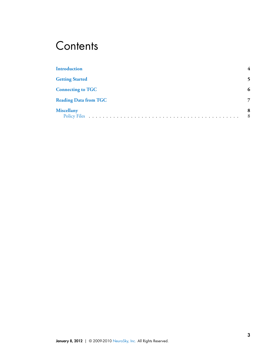### **Contents**

| <b>Introduction</b>          |        |
|------------------------------|--------|
| <b>Getting Started</b>       |        |
| <b>Connecting to TGC</b>     | 6      |
| <b>Reading Data from TGC</b> | 7      |
| <b>Miscellany</b>            | 8<br>8 |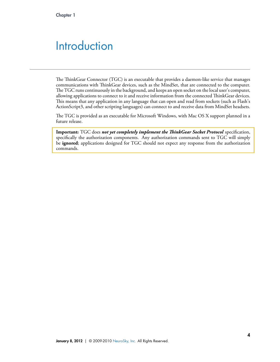#### <span id="page-3-0"></span>**Introduction**

The ThinkGear Connector (TGC) is an executable that provides a daemon-like service that manages communications with ThinkGear devices, such as the MindSet, that are connected to the computer. The TGC runs continuously in the background, and keeps an open socket on the local user's computer, allowing applications to connect to it and receive information from the connected ThinkGear devices. This means that any application in any language that can open and read from sockets (such as Flash's ActionScript3, and other scripting languages) can connect to and receive data from MindSet headsets.

e TGC is provided as an executable for Microsoft Windows, with Mac OS X support planned in a future release.

**Important:** TGC does *not yet completely implement the ThinkGear Socket Protocol* specification, specifically the authorization components. Any authorization commands sent to TGC will simply be **ignored**; applications designed for TGC should not expect any response from the authorization commands.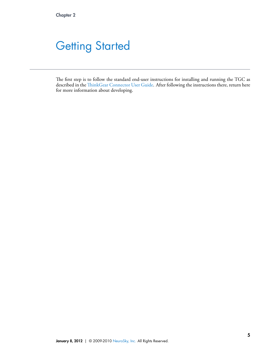# <span id="page-4-0"></span>**Getting Started**

The first step is to follow the standard end-user instructions for installing and running the TGC as described in the ThinkGear Connector User Guide. After following the instructions there, return here for more information about developing.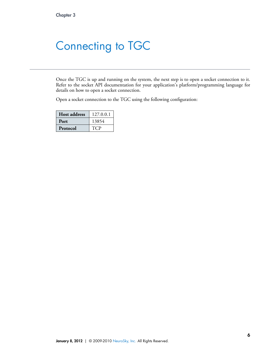# <span id="page-5-0"></span>Connecting to TGC

Once the TGC is up and running on the system, the next step is to open a socket connection to it. Refer to the socket API documentation for your application's platform/programming language for details on how to open a socket connection.

Open a socket connection to the TGC using the following configuration:

| <b>Host address</b> | 127.0.0.1 |
|---------------------|-----------|
| Port                | 13854     |
| Protocol            | T (TP     |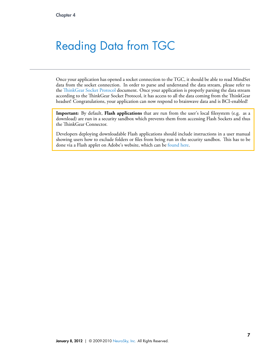# <span id="page-6-0"></span>Reading Data from TGC

Once your application has opened a socket connection to the TGC, it should be able to read MindSet data from the socket connection. In order to parse and understand the data stream, please refer to the ThinkGear Socket Protocol document. Once your application is properly parsing the data stream according to the ThinkGear Socket Protocol, it has access to all the data coming from the ThinkGear headset! Congratulations, your application can now respond to brainwave data and is BCI-enabled!

**Important:** By default, Flash applications that are run from the user's local filesystem (e.g. as a download) are run in a security sandbox which prevents them from accessing Flash Sockets and thus the ThinkGear Connector.

Developers deploying downloadable Flash applications should include instructions in a user manual showing users how to exclude folders or files from being run in the security sandbox. This has to be done via a Flash applet on Adobe's website, which can be [found here.](http://www.macromedia.com/support/documentation/en/flashplayer/help/settings_manager04.html)